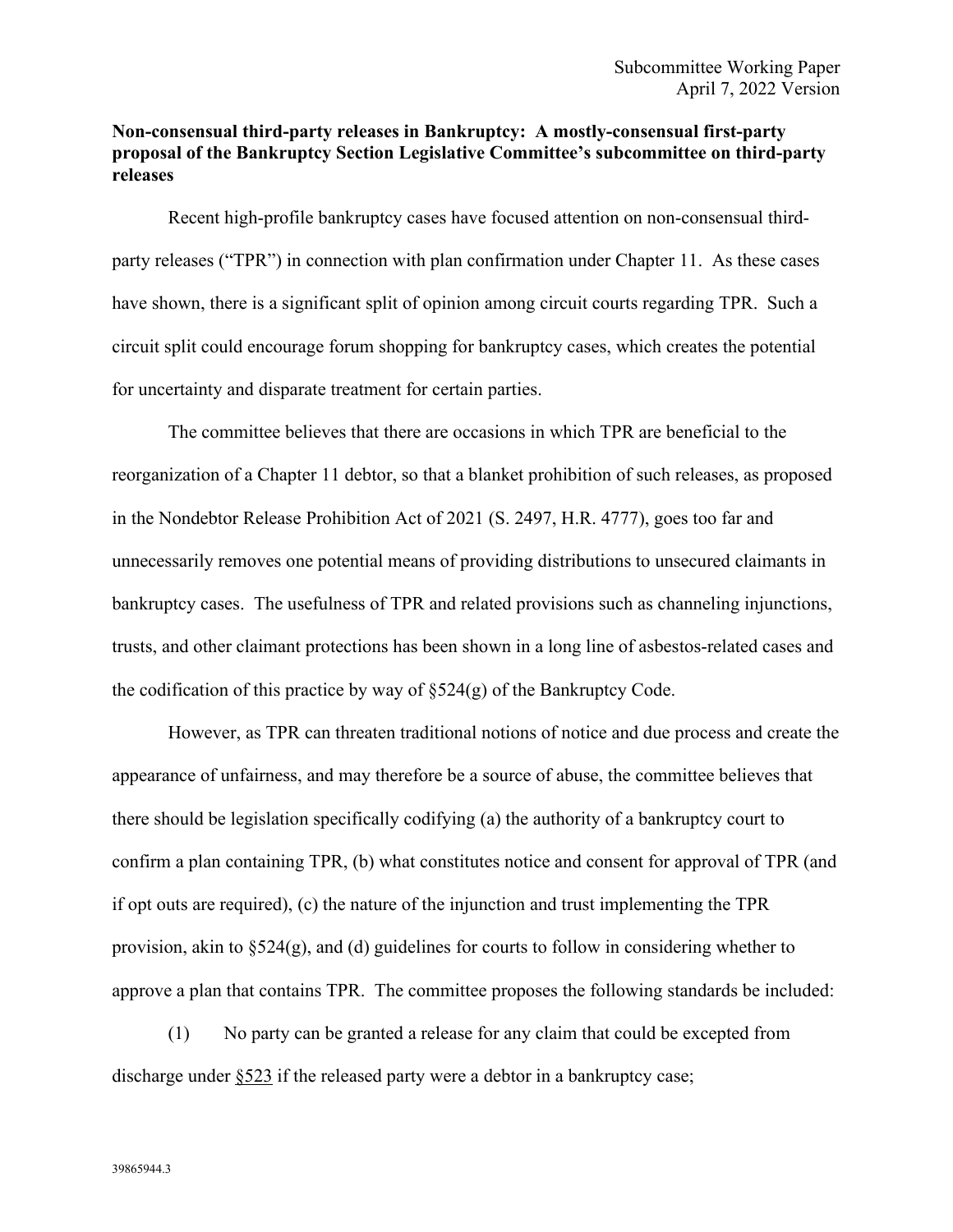## **Non-consensual third-party releases in Bankruptcy: A mostly-consensual first-party proposal of the Bankruptcy Section Legislative Committee's subcommittee on third-party releases**

Recent high-profile bankruptcy cases have focused attention on non-consensual thirdparty releases ("TPR") in connection with plan confirmation under Chapter 11. As these cases have shown, there is a significant split of opinion among circuit courts regarding TPR. Such a circuit split could encourage forum shopping for bankruptcy cases, which creates the potential for uncertainty and disparate treatment for certain parties.

The committee believes that there are occasions in which TPR are beneficial to the reorganization of a Chapter 11 debtor, so that a blanket prohibition of such releases, as proposed in the Nondebtor Release Prohibition Act of 2021 (S. 2497, H.R. 4777), goes too far and unnecessarily removes one potential means of providing distributions to unsecured claimants in bankruptcy cases. The usefulness of TPR and related provisions such as channeling injunctions, trusts, and other claimant protections has been shown in a long line of asbestos-related cases and the codification of this practice by way of  $\S 524(g)$  of the Bankruptcy Code.

However, as TPR can threaten traditional notions of notice and due process and create the appearance of unfairness, and may therefore be a source of abuse, the committee believes that there should be legislation specifically codifying (a) the authority of a bankruptcy court to confirm a plan containing TPR, (b) what constitutes notice and consent for approval of TPR (and if opt outs are required), (c) the nature of the injunction and trust implementing the TPR provision, akin to §524(g), and (d) guidelines for courts to follow in considering whether to approve a plan that contains TPR. The committee proposes the following standards be included:

(1) No party can be granted a release for any claim that could be excepted from discharge under §523 if the released party were a debtor in a bankruptcy case;